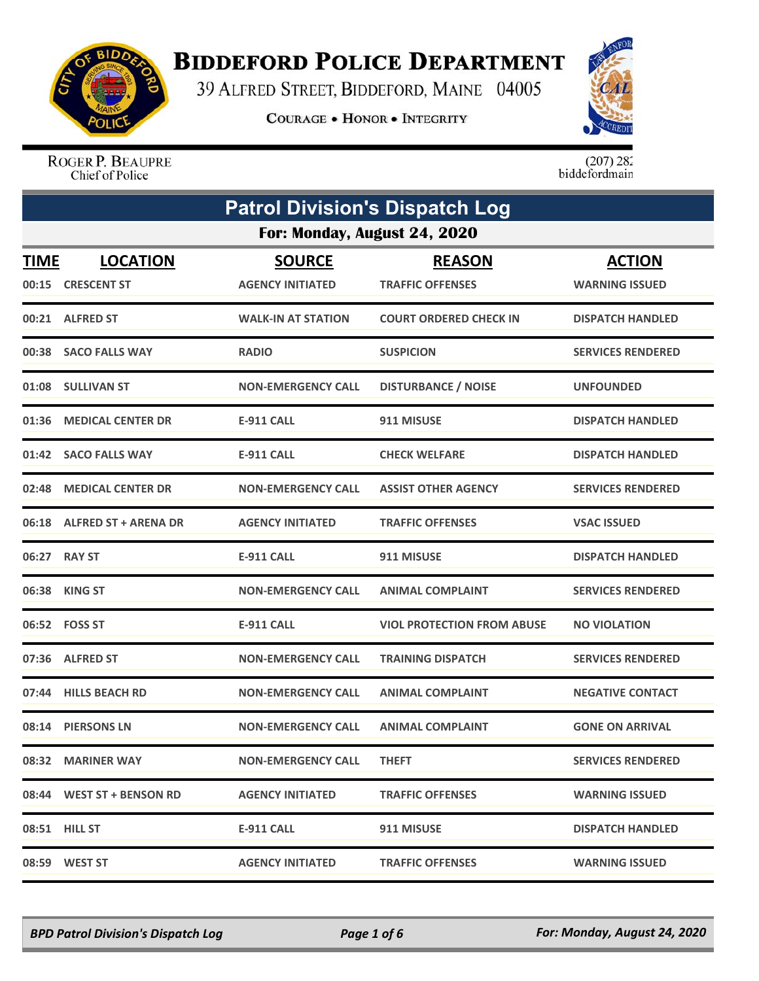

## **BIDDEFORD POLICE DEPARTMENT**

39 ALFRED STREET, BIDDEFORD, MAINE 04005

COURAGE . HONOR . INTEGRITY



ROGER P. BEAUPRE Chief of Police

 $(207)$  282<br>biddefordmain

| <b>Patrol Division's Dispatch Log</b> |                                      |                                          |                                          |                                        |  |  |
|---------------------------------------|--------------------------------------|------------------------------------------|------------------------------------------|----------------------------------------|--|--|
|                                       | For: Monday, August 24, 2020         |                                          |                                          |                                        |  |  |
| <b>TIME</b>                           | <b>LOCATION</b><br>00:15 CRESCENT ST | <b>SOURCE</b><br><b>AGENCY INITIATED</b> | <b>REASON</b><br><b>TRAFFIC OFFENSES</b> | <b>ACTION</b><br><b>WARNING ISSUED</b> |  |  |
|                                       | 00:21 ALFRED ST                      | <b>WALK-IN AT STATION</b>                | <b>COURT ORDERED CHECK IN</b>            | <b>DISPATCH HANDLED</b>                |  |  |
|                                       | 00:38 SACO FALLS WAY                 | <b>RADIO</b>                             | <b>SUSPICION</b>                         | <b>SERVICES RENDERED</b>               |  |  |
|                                       | 01:08 SULLIVAN ST                    | <b>NON-EMERGENCY CALL</b>                | <b>DISTURBANCE / NOISE</b>               | <b>UNFOUNDED</b>                       |  |  |
|                                       | 01:36 MEDICAL CENTER DR              | E-911 CALL                               | 911 MISUSE                               | <b>DISPATCH HANDLED</b>                |  |  |
|                                       | 01:42 SACO FALLS WAY                 | <b>E-911 CALL</b>                        | <b>CHECK WELFARE</b>                     | <b>DISPATCH HANDLED</b>                |  |  |
|                                       | 02:48 MEDICAL CENTER DR              | <b>NON-EMERGENCY CALL</b>                | <b>ASSIST OTHER AGENCY</b>               | <b>SERVICES RENDERED</b>               |  |  |
|                                       | 06:18 ALFRED ST + ARENA DR           | <b>AGENCY INITIATED</b>                  | <b>TRAFFIC OFFENSES</b>                  | <b>VSAC ISSUED</b>                     |  |  |
|                                       | 06:27 RAY ST                         | <b>E-911 CALL</b>                        | 911 MISUSE                               | <b>DISPATCH HANDLED</b>                |  |  |
|                                       | 06:38 KING ST                        | <b>NON-EMERGENCY CALL</b>                | <b>ANIMAL COMPLAINT</b>                  | <b>SERVICES RENDERED</b>               |  |  |
|                                       | 06:52 FOSS ST                        | <b>E-911 CALL</b>                        | <b>VIOL PROTECTION FROM ABUSE</b>        | <b>NO VIOLATION</b>                    |  |  |
|                                       | 07:36 ALFRED ST                      | <b>NON-EMERGENCY CALL</b>                | <b>TRAINING DISPATCH</b>                 | <b>SERVICES RENDERED</b>               |  |  |
|                                       | 07:44 HILLS BEACH RD                 | <b>NON-EMERGENCY CALL</b>                | <b>ANIMAL COMPLAINT</b>                  | <b>NEGATIVE CONTACT</b>                |  |  |
|                                       | 08:14 PIERSONS LN                    | <b>NON-EMERGENCY CALL</b>                | <b>ANIMAL COMPLAINT</b>                  | <b>GONE ON ARRIVAL</b>                 |  |  |
|                                       | 08:32 MARINER WAY                    | <b>NON-EMERGENCY CALL</b>                | <b>THEFT</b>                             | <b>SERVICES RENDERED</b>               |  |  |
|                                       | 08:44 WEST ST + BENSON RD            | <b>AGENCY INITIATED</b>                  | <b>TRAFFIC OFFENSES</b>                  | <b>WARNING ISSUED</b>                  |  |  |
|                                       | 08:51 HILL ST                        | E-911 CALL                               | 911 MISUSE                               | <b>DISPATCH HANDLED</b>                |  |  |
|                                       | 08:59 WEST ST                        | <b>AGENCY INITIATED</b>                  | <b>TRAFFIC OFFENSES</b>                  | <b>WARNING ISSUED</b>                  |  |  |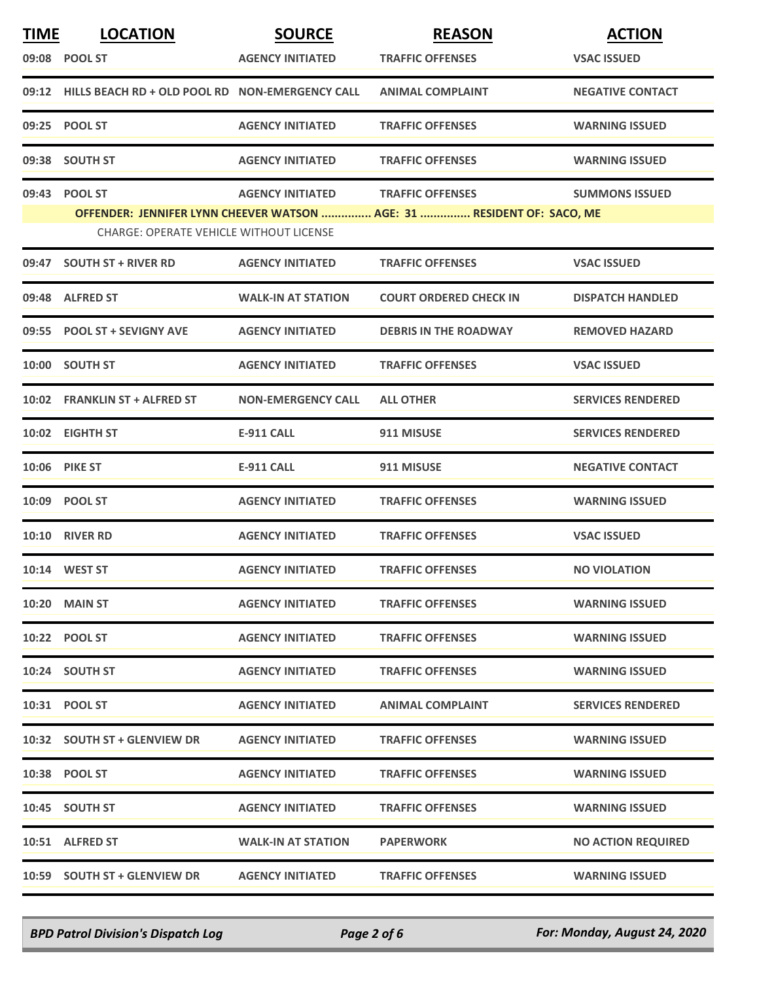| <b>TIME</b> | <b>LOCATION</b>                                       | <b>SOURCE</b>             | <b>REASON</b>                                                          | <b>ACTION</b>             |
|-------------|-------------------------------------------------------|---------------------------|------------------------------------------------------------------------|---------------------------|
|             | 09:08 POOL ST                                         | <b>AGENCY INITIATED</b>   | <b>TRAFFIC OFFENSES</b>                                                | <b>VSAC ISSUED</b>        |
|             | 09:12 HILLS BEACH RD + OLD POOL RD NON-EMERGENCY CALL |                           | <b>ANIMAL COMPLAINT</b>                                                | <b>NEGATIVE CONTACT</b>   |
|             | 09:25 POOL ST                                         | <b>AGENCY INITIATED</b>   | <b>TRAFFIC OFFENSES</b>                                                | <b>WARNING ISSUED</b>     |
|             | 09:38 SOUTH ST                                        | <b>AGENCY INITIATED</b>   | <b>TRAFFIC OFFENSES</b>                                                | <b>WARNING ISSUED</b>     |
|             | 09:43 POOL ST                                         | <b>AGENCY INITIATED</b>   | <b>TRAFFIC OFFENSES</b>                                                | <b>SUMMONS ISSUED</b>     |
|             | <b>CHARGE: OPERATE VEHICLE WITHOUT LICENSE</b>        |                           | OFFENDER: JENNIFER LYNN CHEEVER WATSON  AGE: 31  RESIDENT OF: SACO, ME |                           |
|             | 09:47 SOUTH ST + RIVER RD                             | <b>AGENCY INITIATED</b>   | <b>TRAFFIC OFFENSES</b>                                                | <b>VSAC ISSUED</b>        |
|             | 09:48 ALFRED ST                                       | <b>WALK-IN AT STATION</b> | <b>COURT ORDERED CHECK IN</b>                                          | <b>DISPATCH HANDLED</b>   |
|             | 09:55 POOL ST + SEVIGNY AVE                           | <b>AGENCY INITIATED</b>   | <b>DEBRIS IN THE ROADWAY</b>                                           | <b>REMOVED HAZARD</b>     |
|             | 10:00 SOUTH ST                                        | <b>AGENCY INITIATED</b>   | <b>TRAFFIC OFFENSES</b>                                                | <b>VSAC ISSUED</b>        |
|             | 10:02 FRANKLIN ST + ALFRED ST                         | <b>NON-EMERGENCY CALL</b> | <b>ALL OTHER</b>                                                       | <b>SERVICES RENDERED</b>  |
|             | 10:02 EIGHTH ST                                       | <b>E-911 CALL</b>         | 911 MISUSE                                                             | <b>SERVICES RENDERED</b>  |
|             | <b>10:06 PIKE ST</b>                                  | <b>E-911 CALL</b>         | 911 MISUSE                                                             | <b>NEGATIVE CONTACT</b>   |
|             | 10:09 POOL ST                                         | <b>AGENCY INITIATED</b>   | <b>TRAFFIC OFFENSES</b>                                                | <b>WARNING ISSUED</b>     |
|             | <b>10:10 RIVER RD</b>                                 | <b>AGENCY INITIATED</b>   | <b>TRAFFIC OFFENSES</b>                                                | <b>VSAC ISSUED</b>        |
|             | 10:14 WEST ST                                         | <b>AGENCY INITIATED</b>   | <b>TRAFFIC OFFENSES</b>                                                | <b>NO VIOLATION</b>       |
|             | <b>10:20 MAIN ST</b>                                  | <b>AGENCY INITIATED</b>   | <b>TRAFFIC OFFENSES</b>                                                | <b>WARNING ISSUED</b>     |
|             | 10:22 POOL ST                                         | <b>AGENCY INITIATED</b>   | <b>TRAFFIC OFFENSES</b>                                                | <b>WARNING ISSUED</b>     |
|             | 10:24 SOUTH ST                                        | <b>AGENCY INITIATED</b>   | <b>TRAFFIC OFFENSES</b>                                                | <b>WARNING ISSUED</b>     |
|             | 10:31 POOL ST                                         | <b>AGENCY INITIATED</b>   | <b>ANIMAL COMPLAINT</b>                                                | <b>SERVICES RENDERED</b>  |
|             | 10:32 SOUTH ST + GLENVIEW DR                          | <b>AGENCY INITIATED</b>   | <b>TRAFFIC OFFENSES</b>                                                | <b>WARNING ISSUED</b>     |
|             | 10:38 POOL ST                                         | <b>AGENCY INITIATED</b>   | <b>TRAFFIC OFFENSES</b>                                                | <b>WARNING ISSUED</b>     |
|             | 10:45 SOUTH ST                                        | <b>AGENCY INITIATED</b>   | <b>TRAFFIC OFFENSES</b>                                                | <b>WARNING ISSUED</b>     |
|             | 10:51 ALFRED ST                                       | <b>WALK-IN AT STATION</b> | <b>PAPERWORK</b>                                                       | <b>NO ACTION REQUIRED</b> |
|             | 10:59 SOUTH ST + GLENVIEW DR                          | <b>AGENCY INITIATED</b>   | <b>TRAFFIC OFFENSES</b>                                                | <b>WARNING ISSUED</b>     |

*BPD Patrol Division's Dispatch Log Page 2 of 6 For: Monday, August 24, 2020*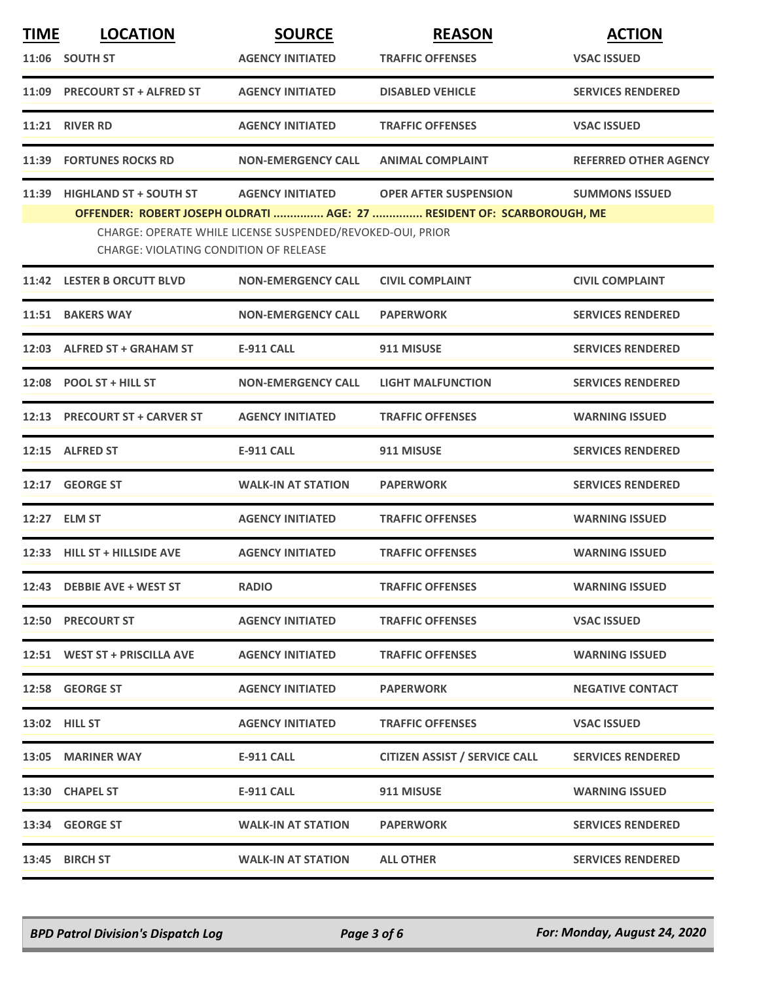| <b>LOCATION</b>               | <b>SOURCE</b>             | <b>REASON</b>                                 | <b>ACTION</b>                                                                                                                        |
|-------------------------------|---------------------------|-----------------------------------------------|--------------------------------------------------------------------------------------------------------------------------------------|
| 11:06 SOUTH ST                | <b>AGENCY INITIATED</b>   | <b>TRAFFIC OFFENSES</b>                       | <b>VSAC ISSUED</b>                                                                                                                   |
| 11:09 PRECOURT ST + ALFRED ST | <b>AGENCY INITIATED</b>   | <b>DISABLED VEHICLE</b>                       | <b>SERVICES RENDERED</b>                                                                                                             |
| <b>RIVER RD</b>               | <b>AGENCY INITIATED</b>   | <b>TRAFFIC OFFENSES</b>                       | <b>VSAC ISSUED</b>                                                                                                                   |
| 11:39 FORTUNES ROCKS RD       | <b>NON-EMERGENCY CALL</b> | <b>ANIMAL COMPLAINT</b>                       | <b>REFERRED OTHER AGENCY</b>                                                                                                         |
| <b>HIGHLAND ST + SOUTH ST</b> | <b>AGENCY INITIATED</b>   | <b>OPER AFTER SUSPENSION</b>                  | <b>SUMMONS ISSUED</b>                                                                                                                |
|                               |                           |                                               |                                                                                                                                      |
| 11:42 LESTER B ORCUTT BLVD    | <b>NON-EMERGENCY CALL</b> | <b>CIVIL COMPLAINT</b>                        | <b>CIVIL COMPLAINT</b>                                                                                                               |
| 11:51 BAKERS WAY              | <b>NON-EMERGENCY CALL</b> | <b>PAPERWORK</b>                              | <b>SERVICES RENDERED</b>                                                                                                             |
| 12:03 ALFRED ST + GRAHAM ST   | <b>E-911 CALL</b>         | 911 MISUSE                                    | <b>SERVICES RENDERED</b>                                                                                                             |
| 12:08 POOL ST + HILL ST       | <b>NON-EMERGENCY CALL</b> | <b>LIGHT MALFUNCTION</b>                      | <b>SERVICES RENDERED</b>                                                                                                             |
| 12:13 PRECOURT ST + CARVER ST | <b>AGENCY INITIATED</b>   | <b>TRAFFIC OFFENSES</b>                       | <b>WARNING ISSUED</b>                                                                                                                |
| 12:15 ALFRED ST               | <b>E-911 CALL</b>         | 911 MISUSE                                    | <b>SERVICES RENDERED</b>                                                                                                             |
| 12:17 GEORGE ST               | <b>WALK-IN AT STATION</b> | <b>PAPERWORK</b>                              | <b>SERVICES RENDERED</b>                                                                                                             |
| 12:27 ELM ST                  | <b>AGENCY INITIATED</b>   | <b>TRAFFIC OFFENSES</b>                       | <b>WARNING ISSUED</b>                                                                                                                |
| 12:33 HILL ST + HILLSIDE AVE  | <b>AGENCY INITIATED</b>   | <b>TRAFFIC OFFENSES</b>                       | <b>WARNING ISSUED</b>                                                                                                                |
| 12:43 DEBBIE AVE + WEST ST    | <b>RADIO</b>              | <b>TRAFFIC OFFENSES</b>                       | <b>WARNING ISSUED</b>                                                                                                                |
| <b>12:50 PRECOURT ST</b>      | <b>AGENCY INITIATED</b>   | <b>TRAFFIC OFFENSES</b>                       | <b>VSAC ISSUED</b>                                                                                                                   |
| 12:51 WEST ST + PRISCILLA AVE | <b>AGENCY INITIATED</b>   | <b>TRAFFIC OFFENSES</b>                       | <b>WARNING ISSUED</b>                                                                                                                |
| 12:58 GEORGE ST               | <b>AGENCY INITIATED</b>   | <b>PAPERWORK</b>                              | <b>NEGATIVE CONTACT</b>                                                                                                              |
| <b>13:02 HILL ST</b>          | <b>AGENCY INITIATED</b>   | <b>TRAFFIC OFFENSES</b>                       | <b>VSAC ISSUED</b>                                                                                                                   |
| 13:05 MARINER WAY             | E-911 CALL                | <b>CITIZEN ASSIST / SERVICE CALL</b>          | <b>SERVICES RENDERED</b>                                                                                                             |
| 13:30 CHAPEL ST               | E-911 CALL                | 911 MISUSE                                    | <b>WARNING ISSUED</b>                                                                                                                |
| 13:34 GEORGE ST               | <b>WALK-IN AT STATION</b> | <b>PAPERWORK</b>                              | <b>SERVICES RENDERED</b>                                                                                                             |
| 13:45 BIRCH ST                | <b>WALK-IN AT STATION</b> | <b>ALL OTHER</b>                              | <b>SERVICES RENDERED</b>                                                                                                             |
|                               |                           | <b>CHARGE: VIOLATING CONDITION OF RELEASE</b> | OFFENDER: ROBERT JOSEPH OLDRATI  AGE: 27  RESIDENT OF: SCARBOROUGH, ME<br>CHARGE: OPERATE WHILE LICENSE SUSPENDED/REVOKED-OUI, PRIOR |

*BPD Patrol Division's Dispatch Log Page 3 of 6 For: Monday, August 24, 2020*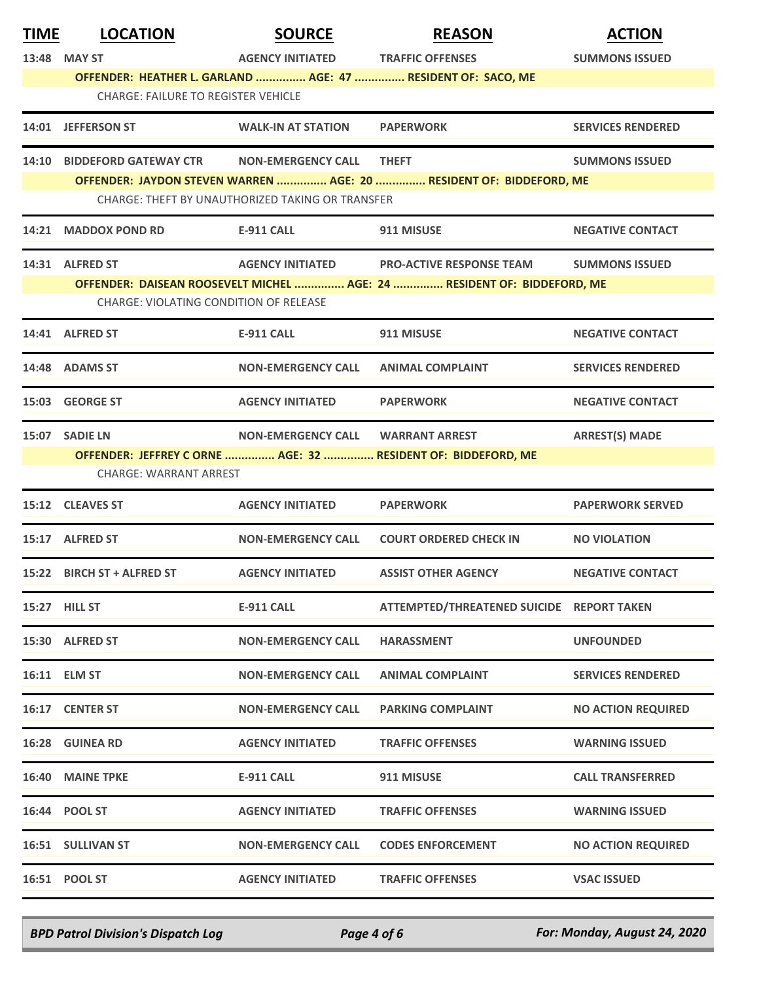| <b>TIME</b> | <b>LOCATION</b>                                                                                                                | <b>SOURCE</b>                     | <b>REASON</b>                                                           | <b>ACTION</b>             |  |  |  |
|-------------|--------------------------------------------------------------------------------------------------------------------------------|-----------------------------------|-------------------------------------------------------------------------|---------------------------|--|--|--|
|             | 13:48 MAY ST                                                                                                                   | <b>AGENCY INITIATED</b>           | <b>TRAFFIC OFFENSES</b>                                                 | <b>SUMMONS ISSUED</b>     |  |  |  |
|             | OFFENDER: HEATHER L. GARLAND  AGE: 47  RESIDENT OF: SACO, ME                                                                   |                                   |                                                                         |                           |  |  |  |
|             | <b>CHARGE: FAILURE TO REGISTER VEHICLE</b>                                                                                     |                                   |                                                                         |                           |  |  |  |
|             | 14:01 JEFFERSON ST                                                                                                             | <b>WALK-IN AT STATION</b>         | <b>PAPERWORK</b>                                                        | <b>SERVICES RENDERED</b>  |  |  |  |
| 14:10       | <b>BIDDEFORD GATEWAY CTR</b>                                                                                                   | <b>NON-EMERGENCY CALL</b>         | <b>THEFT</b>                                                            | <b>SUMMONS ISSUED</b>     |  |  |  |
|             | OFFENDER: JAYDON STEVEN WARREN  AGE: 20  RESIDENT OF: BIDDEFORD, ME<br><b>CHARGE: THEFT BY UNAUTHORIZED TAKING OR TRANSFER</b> |                                   |                                                                         |                           |  |  |  |
|             |                                                                                                                                |                                   |                                                                         |                           |  |  |  |
|             | 14:21 MADDOX POND RD                                                                                                           | E-911 CALL                        | 911 MISUSE                                                              | <b>NEGATIVE CONTACT</b>   |  |  |  |
|             | 14:31 ALFRED ST                                                                                                                |                                   | AGENCY INITIATED PRO-ACTIVE RESPONSE TEAM                               | <b>SUMMONS ISSUED</b>     |  |  |  |
|             |                                                                                                                                |                                   | OFFENDER: DAISEAN ROOSEVELT MICHEL  AGE: 24  RESIDENT OF: BIDDEFORD, ME |                           |  |  |  |
|             | CHARGE: VIOLATING CONDITION OF RELEASE                                                                                         |                                   |                                                                         |                           |  |  |  |
|             | 14:41 ALFRED ST                                                                                                                | <b>E-911 CALL</b>                 | 911 MISUSE                                                              | <b>NEGATIVE CONTACT</b>   |  |  |  |
|             | 14:48 ADAMS ST                                                                                                                 | <b>NON-EMERGENCY CALL</b>         | <b>ANIMAL COMPLAINT</b>                                                 | <b>SERVICES RENDERED</b>  |  |  |  |
|             | 15:03 GEORGE ST                                                                                                                | <b>AGENCY INITIATED</b>           | <b>PAPERWORK</b>                                                        | <b>NEGATIVE CONTACT</b>   |  |  |  |
|             | 15:07 SADIE LN                                                                                                                 | NON-EMERGENCY CALL WARRANT ARREST |                                                                         | <b>ARREST(S) MADE</b>     |  |  |  |
|             |                                                                                                                                |                                   | OFFENDER: JEFFREY C ORNE  AGE: 32  RESIDENT OF: BIDDEFORD, ME           |                           |  |  |  |
|             | <b>CHARGE: WARRANT ARREST</b>                                                                                                  |                                   |                                                                         |                           |  |  |  |
|             | 15:12 CLEAVES ST                                                                                                               | <b>AGENCY INITIATED</b>           | <b>PAPERWORK</b>                                                        | <b>PAPERWORK SERVED</b>   |  |  |  |
|             | 15:17 ALFRED ST                                                                                                                | <b>NON-EMERGENCY CALL</b>         | <b>COURT ORDERED CHECK IN</b>                                           | <b>NO VIOLATION</b>       |  |  |  |
| 15:22       | <b>BIRCH ST + ALFRED ST</b>                                                                                                    | <b>AGENCY INITIATED</b>           | <b>ASSIST OTHER AGENCY</b>                                              | <b>NEGATIVE CONTACT</b>   |  |  |  |
|             | 15:27 HILL ST                                                                                                                  | <b>E-911 CALL</b>                 | ATTEMPTED/THREATENED SUICIDE REPORT TAKEN                               |                           |  |  |  |
|             | 15:30 ALFRED ST                                                                                                                | <b>NON-EMERGENCY CALL</b>         | <b>HARASSMENT</b>                                                       | <b>UNFOUNDED</b>          |  |  |  |
|             | 16:11 ELM ST                                                                                                                   | <b>NON-EMERGENCY CALL</b>         | <b>ANIMAL COMPLAINT</b>                                                 | <b>SERVICES RENDERED</b>  |  |  |  |
|             | 16:17 CENTER ST                                                                                                                | <b>NON-EMERGENCY CALL</b>         | <b>PARKING COMPLAINT</b>                                                | <b>NO ACTION REQUIRED</b> |  |  |  |
|             | <b>16:28 GUINEA RD</b>                                                                                                         | <b>AGENCY INITIATED</b>           | <b>TRAFFIC OFFENSES</b>                                                 | <b>WARNING ISSUED</b>     |  |  |  |
|             | 16:40 MAINE TPKE                                                                                                               | <b>E-911 CALL</b>                 | 911 MISUSE                                                              | <b>CALL TRANSFERRED</b>   |  |  |  |
|             | 16:44 POOL ST                                                                                                                  | <b>AGENCY INITIATED</b>           | <b>TRAFFIC OFFENSES</b>                                                 | <b>WARNING ISSUED</b>     |  |  |  |
|             | 16:51 SULLIVAN ST                                                                                                              | <b>NON-EMERGENCY CALL</b>         | <b>CODES ENFORCEMENT</b>                                                | <b>NO ACTION REQUIRED</b> |  |  |  |
|             | 16:51 POOL ST                                                                                                                  | <b>AGENCY INITIATED</b>           | <b>TRAFFIC OFFENSES</b>                                                 | <b>VSAC ISSUED</b>        |  |  |  |

*BPD Patrol Division's Dispatch Log Page 4 of 6 For: Monday, August 24, 2020*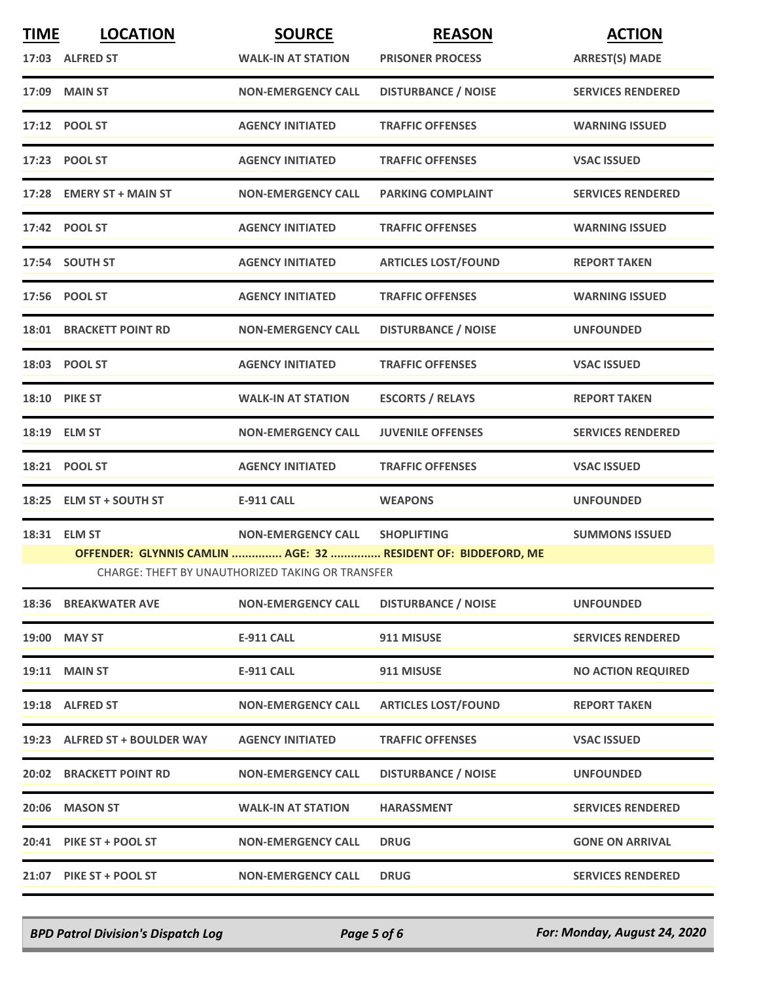| <b>TIME</b> | <b>LOCATION</b>                                                                                                   | <b>SOURCE</b>             | <b>REASON</b>              | <b>ACTION</b>             |  |  |
|-------------|-------------------------------------------------------------------------------------------------------------------|---------------------------|----------------------------|---------------------------|--|--|
|             | 17:03 ALFRED ST                                                                                                   | <b>WALK-IN AT STATION</b> | <b>PRISONER PROCESS</b>    | <b>ARREST(S) MADE</b>     |  |  |
|             | 17:09 MAIN ST                                                                                                     | <b>NON-EMERGENCY CALL</b> | <b>DISTURBANCE / NOISE</b> | <b>SERVICES RENDERED</b>  |  |  |
|             | 17:12 POOL ST                                                                                                     | <b>AGENCY INITIATED</b>   | <b>TRAFFIC OFFENSES</b>    | <b>WARNING ISSUED</b>     |  |  |
|             | 17:23 POOL ST                                                                                                     | <b>AGENCY INITIATED</b>   | <b>TRAFFIC OFFENSES</b>    | <b>VSAC ISSUED</b>        |  |  |
|             | 17:28 EMERY ST + MAIN ST                                                                                          | <b>NON-EMERGENCY CALL</b> | <b>PARKING COMPLAINT</b>   | <b>SERVICES RENDERED</b>  |  |  |
|             | 17:42 POOL ST                                                                                                     | <b>AGENCY INITIATED</b>   | <b>TRAFFIC OFFENSES</b>    | <b>WARNING ISSUED</b>     |  |  |
|             | 17:54 SOUTH ST                                                                                                    | <b>AGENCY INITIATED</b>   | <b>ARTICLES LOST/FOUND</b> | <b>REPORT TAKEN</b>       |  |  |
|             | 17:56 POOL ST                                                                                                     | <b>AGENCY INITIATED</b>   | <b>TRAFFIC OFFENSES</b>    | <b>WARNING ISSUED</b>     |  |  |
|             | <b>18:01 BRACKETT POINT RD</b>                                                                                    | <b>NON-EMERGENCY CALL</b> | <b>DISTURBANCE / NOISE</b> | <b>UNFOUNDED</b>          |  |  |
|             | 18:03 POOL ST                                                                                                     | <b>AGENCY INITIATED</b>   | <b>TRAFFIC OFFENSES</b>    | <b>VSAC ISSUED</b>        |  |  |
|             | <b>18:10 PIKE ST</b>                                                                                              | <b>WALK-IN AT STATION</b> | <b>ESCORTS / RELAYS</b>    | <b>REPORT TAKEN</b>       |  |  |
|             | 18:19 ELM ST                                                                                                      | <b>NON-EMERGENCY CALL</b> | <b>JUVENILE OFFENSES</b>   | <b>SERVICES RENDERED</b>  |  |  |
|             | 18:21 POOL ST                                                                                                     | <b>AGENCY INITIATED</b>   | <b>TRAFFIC OFFENSES</b>    | <b>VSAC ISSUED</b>        |  |  |
|             | 18:25 ELM ST + SOUTH ST                                                                                           | <b>E-911 CALL</b>         | <b>WEAPONS</b>             | <b>UNFOUNDED</b>          |  |  |
|             | 18:31 ELM ST                                                                                                      | <b>NON-EMERGENCY CALL</b> | <b>SHOPLIFTING</b>         | <b>SUMMONS ISSUED</b>     |  |  |
|             | OFFENDER: GLYNNIS CAMLIN  AGE: 32  RESIDENT OF: BIDDEFORD, ME<br>CHARGE: THEFT BY UNAUTHORIZED TAKING OR TRANSFER |                           |                            |                           |  |  |
|             | <b>18:36 BREAKWATER AVE</b>                                                                                       | <b>NON-EMERGENCY CALL</b> | <b>DISTURBANCE / NOISE</b> | <b>UNFOUNDED</b>          |  |  |
|             | 19:00 MAY ST                                                                                                      | <b>E-911 CALL</b>         | 911 MISUSE                 | <b>SERVICES RENDERED</b>  |  |  |
|             | <b>19:11 MAIN ST</b>                                                                                              | <b>E-911 CALL</b>         | 911 MISUSE                 | <b>NO ACTION REQUIRED</b> |  |  |
|             | 19:18 ALFRED ST                                                                                                   | <b>NON-EMERGENCY CALL</b> | <b>ARTICLES LOST/FOUND</b> | <b>REPORT TAKEN</b>       |  |  |
|             | 19:23 ALFRED ST + BOULDER WAY                                                                                     | <b>AGENCY INITIATED</b>   | <b>TRAFFIC OFFENSES</b>    | <b>VSAC ISSUED</b>        |  |  |
|             | <b>20:02 BRACKETT POINT RD</b>                                                                                    | <b>NON-EMERGENCY CALL</b> | <b>DISTURBANCE / NOISE</b> | <b>UNFOUNDED</b>          |  |  |
|             | 20:06 MASON ST                                                                                                    | <b>WALK-IN AT STATION</b> | <b>HARASSMENT</b>          | <b>SERVICES RENDERED</b>  |  |  |
|             | 20:41 PIKE ST + POOL ST                                                                                           | <b>NON-EMERGENCY CALL</b> | <b>DRUG</b>                | <b>GONE ON ARRIVAL</b>    |  |  |
|             | 21:07 PIKE ST + POOL ST                                                                                           | <b>NON-EMERGENCY CALL</b> | <b>DRUG</b>                | <b>SERVICES RENDERED</b>  |  |  |
|             |                                                                                                                   |                           |                            |                           |  |  |

*BPD Patrol Division's Dispatch Log Page 5 of 6 For: Monday, August 24, 2020*